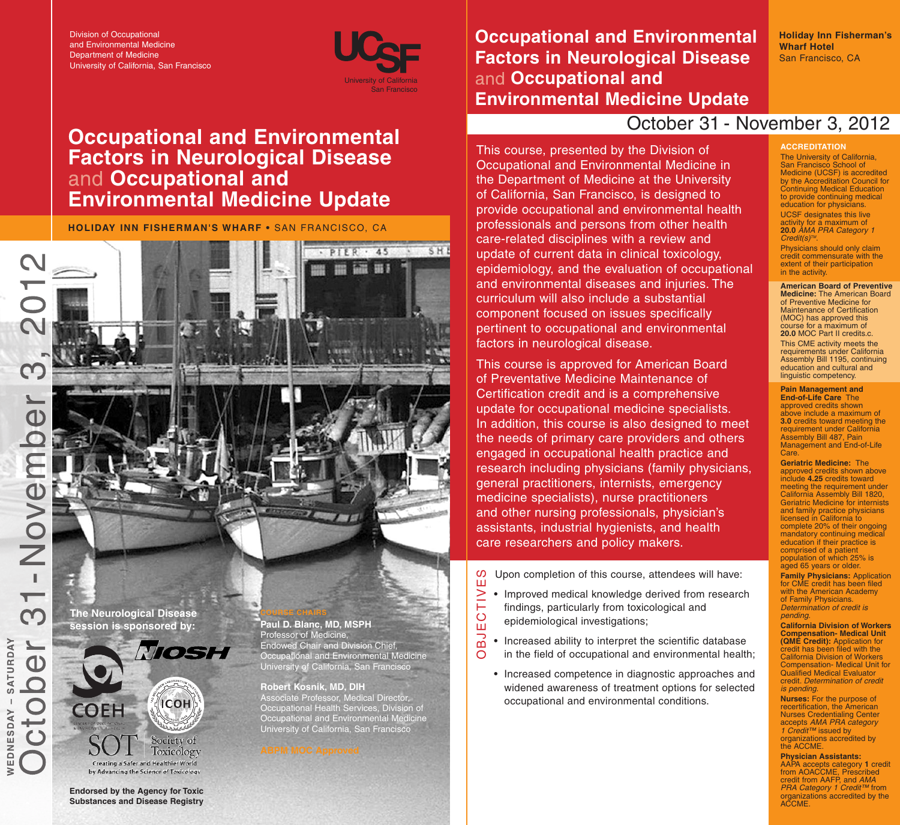Division of Occupational and Environmental Medicine Department of Medicine University of California, San Francisco



 $.45$ 

SHE

# **Occupational and Environmental Factors in Neurological Disease Occupational and Environmental Medicine Update**

**HOLIDAY INN FISHERMAN'S WHARF •** SAN FRANCISCO, CA

**The Neurological Disease session is sponsored by:**

 $\geqslant$ 

 $\infty$ 

SATURDAY

WEDNESDAY



by Advancing the Science of Toxicology

**Endorsed by the Agency for Toxic Substances and Disease Registry**

**COURSE CHAIRS Paul D. Blanc, MD, MSPH** Professor of Medicine, Endowed Chair and Division Chief, Occupational and Environmental Medicine University of California, San Francisco

**ANY AVE** 

**Robert Kosnik, MD, DIH** Associate Professor, Medical Director, Occupational Health Services, Division of Occupational and Environmental Medicine University of California, San Francisco



**Occupational and Environmental Factors in Neurological Disease Occupational and Environmental Medicine Update**

**Holiday Inn Fisherman's Wharf Hotel** San Francisco, CA

## October 31 - November 3, 2012

This course, presented by the Division of Occupational and Environmental Medicine in the Department of Medicine at the University of California, San Francisco, is designed to provide occupational and environmental health professionals and persons from other health care-related disciplines with a review and update of current data in clinical toxicology, epidemiology, and the evaluation of occupational and environmental diseases and injuries. The curriculum will also include a substantial component focused on issues specifically pertinent to occupational and environmental factors in neurological disease.

This course is approved for American Board of Preventative Medicine Maintenance of Certification credit and is a comprehensive update for occupational medicine specialists. In addition, this course is also designed to meet the needs of primary care providers and others engaged in occupational health practice and research including physicians (family physicians, general practitioners, internists, emergency medicine specialists), nurse practitioners and other nursing professionals, physician's assistants, industrial hygienists, and health care researchers and policy makers.

- Upon completion of this course, attendees will have: E ທ
- Improved medical knowledge derived from research findings, particularly from toxicological and  $\mathbf{\circ}$  $\geq$ 
	- epidemiological investigations;

 $\blacksquare$ 

- Increased ability to interpret the scientific database in the field of occupational and environmental health; OBJ
	- Increased competence in diagnostic approaches and widened awareness of treatment options for selected occupational and environmental conditions.

#### San Francisco School of Medicine (UCSF) is accredited by the Accreditation Council for Continuing Medical Education to provide continuing medical education for physicians.

**ACCREDITATION** The University of California,

UCSF designates this live activity for a maximum of **20.0** *AMA PRA Category 1 Credit(s) TM*. Physicians should only claim credit commensurate with the

extent of their participation in the activity. **American Board of Preventive**

**Medicine:** The American Board of Preventive Medicine for Maintenance of Certification (MOC) has approved this course for a maximum of **20.0** MOC Part II credits.c. This CME activity meets the requirements under California Assembly Bill 1195, continuing education and cultural and linguistic competency.

**Pain Management and End-of-Life Care** The

approved credits shown above include a maximum of **3.0** credits toward meeting the requirement under California Assembly Bill 487, Pain Management and End-of-Life **Care** 

**Geriatric Medicine:** The approved credits shown above include **4.25** credits toward meeting the requirement under California Assembly Bill 1820, Geriatric Medicine for internists and family practice physicians licensed in California to complete 20% of their ongoing mandatory continuing medical education if their practice is comprised of a patient population of which 25% is aged 65 years or older.

**Family Physicians:** Application for CME credit has been filed with the American Academy of Family Physicians. *Determination of credit is pending.*

**California Division of Workers Compensation- Medical Unit (QME Credit):** Application for credit has been filed with the California Division of Workers Compensation- Medical Unit for Qualified Medical Evaluator credit. *Determination of credit is pending.*

**Nurses:** For the purpose of recertification, the American Nurses Credentialing Center accepts *AMA PRA category 1 Credit™* issued by organizations accredited by the ACCME.

**Physician Assistants:**

AAPA accepts category **1** credit from AOACCME, Prescribed credit from AAFP, and *AMA PRA Category 1 Credit™* from organizations accredited by the ACCME.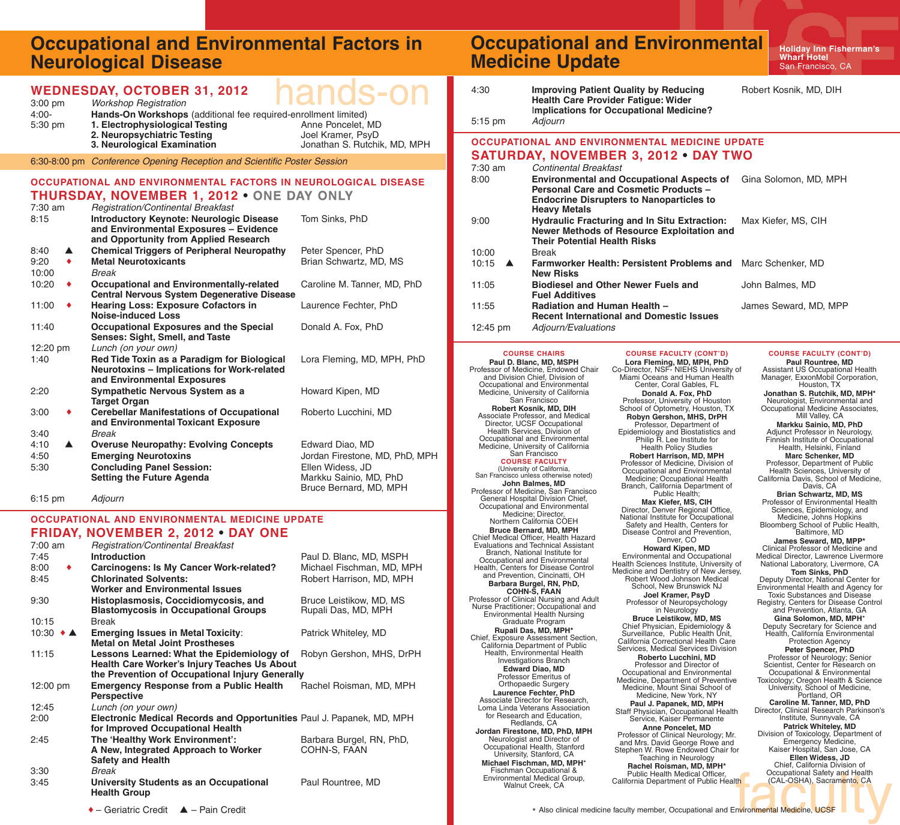## **Occupational and Environmental Factors in Neurological Disease**

| $3:00$ pm           |                  | <b>WEDNESDAY, OCTOBER 31, 2012</b><br>$\mathbf{r}$<br><b>Workshop Registration</b>                 |                                                   | 4:30                                                         | <b>Improving Patient</b><br><b>Health Care Provid</b>                                                      |  |
|---------------------|------------------|----------------------------------------------------------------------------------------------------|---------------------------------------------------|--------------------------------------------------------------|------------------------------------------------------------------------------------------------------------|--|
| $4:00 -$<br>5:30 pm |                  | Hands-On Workshops (additional fee required-enrollment limited)<br>1. Electrophysiological Testing | Anne Poncelet, MD                                 | 5:15 pm                                                      | Implications for Oc<br>Adjourn                                                                             |  |
|                     |                  | 2. Neuropsychiatric Testing<br>3. Neurological Examination                                         | Joel Kramer, PsyD<br>Jonathan S. Rutchik, MD, MPH |                                                              | <b>OCCUPATIONAL AND ENVIRO</b>                                                                             |  |
|                     |                  | 6:30-8:00 pm Conference Opening Reception and Scientific Poster Session                            |                                                   |                                                              | <b>SATURDAY, NOVEMBE</b>                                                                                   |  |
|                     |                  |                                                                                                    |                                                   | 7:30 am                                                      | Continental Breakfa                                                                                        |  |
|                     |                  | OCCUPATIONAL AND ENVIRONMENTAL FACTORS IN NEUROLOGICAL DISEASE                                     |                                                   | 8:00<br><b>Environmental and</b><br><b>Personal Care and</b> |                                                                                                            |  |
|                     |                  | <b>THURSDAY, NOVEMBER 1, 2012 • ONE DAY ONLY</b>                                                   |                                                   |                                                              | <b>Endocrine Disrupte</b>                                                                                  |  |
| 7:30 am             |                  | <b>Registration/Continental Breakfast</b>                                                          |                                                   |                                                              | <b>Heavy Metals</b>                                                                                        |  |
| 8:15                |                  | <b>Introductory Keynote: Neurologic Disease</b><br>and Environmental Exposures - Evidence          | Tom Sinks, PhD                                    | 9:00                                                         | <b>Hydraulic Fracturin</b><br><b>Newer Methods of</b>                                                      |  |
|                     |                  | and Opportunity from Applied Research                                                              |                                                   |                                                              | <b>Their Potential Hea</b>                                                                                 |  |
| 8:40                | ▲                | <b>Chemical Triggers of Peripheral Neuropathy</b>                                                  | Peter Spencer, PhD                                | 10:00                                                        | <b>Break</b>                                                                                               |  |
| 9:20<br>10:00       | $\bullet$        | <b>Metal Neurotoxicants</b><br><b>Break</b>                                                        | Brian Schwartz, MD, MS                            | 10:15<br>▲                                                   | <b>Farmworker Health</b><br><b>New Risks</b>                                                               |  |
| 10:20               | ٠                | <b>Occupational and Environmentally-related</b>                                                    | Caroline M. Tanner, MD, PhD                       | 11:05                                                        | <b>Biodiesel and Othe</b>                                                                                  |  |
|                     |                  | <b>Central Nervous System Degenerative Disease</b>                                                 |                                                   |                                                              | <b>Fuel Additives</b>                                                                                      |  |
| 11:00               | ٠                | <b>Hearing Loss: Exposure Cofactors in</b><br><b>Noise-induced Loss</b>                            | Laurence Fechter, PhD                             | 11:55                                                        | <b>Radiation and Hun</b>                                                                                   |  |
| 11:40               |                  | <b>Occupational Exposures and the Special</b><br>Senses: Sight, Smell, and Taste                   | Donald A. Fox, PhD                                | $12:45 \text{ pm}$                                           | <b>Recent Internation</b><br>Adjourn/Evaluations                                                           |  |
| 12:20 pm            |                  | Lunch (on your own)                                                                                |                                                   |                                                              | <b>COURSE CHAIRS</b>                                                                                       |  |
| 1:40                |                  | Red Tide Toxin as a Paradigm for Biological                                                        | Lora Fleming, MD, MPH, PhD                        |                                                              | Paul D. Blanc, MD, MSPH                                                                                    |  |
|                     |                  | <b>Neurotoxins - Implications for Work-related</b><br>and Environmental Exposures                  |                                                   |                                                              | Professor of Medicine, Endowed Chair<br>and Division Chief, Division of                                    |  |
| 2:20                |                  | Sympathetic Nervous System as a<br><b>Target Organ</b>                                             | Howard Kipen, MD                                  |                                                              | Occupational and Environmental<br>Medicine, University of California<br>San Francisco                      |  |
| 3:00                | ٠                | <b>Cerebellar Manifestations of Occupational</b><br>and Environmental Toxicant Exposure            | Roberto Lucchini, MD                              |                                                              | Robert Kosnik, MD, DIH<br>Associate Professor, and Medical<br>Director, UCSF Occupational                  |  |
| 3:40<br>4:10        | $\blacktriangle$ | <b>Break</b><br><b>Overuse Neuropathy: Evolving Concepts</b>                                       |                                                   |                                                              | Health Services, Division of<br>Occupational and Environmental                                             |  |
| 4:50                |                  | <b>Emerging Neurotoxins</b>                                                                        | Edward Diao, MD<br>Jordan Firestone, MD, PhD, MPH |                                                              | Medicine, University of California<br>San Francisco                                                        |  |
| 5:30                |                  | <b>Concluding Panel Session:</b>                                                                   | Ellen Widess, JD                                  |                                                              | <b>COURSE FACULTY</b><br>(University of California,                                                        |  |
|                     |                  | <b>Setting the Future Agenda</b>                                                                   | Markku Sainio, MD, PhD                            |                                                              | San Francisco unless otherwise noted)<br>John Balmes, MD                                                   |  |
| 6:15 pm             |                  | Adjourn                                                                                            | Bruce Bernard, MD, MPH                            |                                                              | Professor of Medicine, San Francisco<br>General Hospital Division Chief,<br>Occupational and Environmental |  |
|                     |                  | OCCUPATIONAL AND ENVIRONMENTAL MEDICINE UPDATE                                                     |                                                   | Medicine; Director,<br>Northern California COEH              |                                                                                                            |  |
|                     |                  | <b>FRIDAY, NOVEMBER 2, 2012 • DAY ONE</b>                                                          |                                                   |                                                              | <b>Bruce Bernard, MD, MPH</b><br>Chief Medical Officer, Health Hazard                                      |  |
| 7:00 am             |                  | Registration/Continental Breakfast                                                                 |                                                   |                                                              | Evaluations and Technical Assistant                                                                        |  |
| 7:45                |                  | <b>Introduction</b>                                                                                | Paul D. Blanc, MD, MSPH                           |                                                              | Branch, National Institute for<br>Occupational and Environmental                                           |  |
| 8:00                | ٠                | <b>Carcinogens: Is My Cancer Work-related?</b>                                                     | Michael Fischman, MD, MPH                         |                                                              | Health, Centers for Disease Control<br>and Prevention, Cincinatti, OH                                      |  |
| 8:45                |                  | <b>Chlorinated Solvents:</b><br><b>Worker and Environmental Issues</b>                             | Robert Harrison, MD, MPH                          |                                                              | Barbara Burgel, RN, PhD,                                                                                   |  |
| 9:30                |                  | Histoplasmosis, Coccidiomycosis, and                                                               | Bruce Leistikow, MD, MS                           |                                                              | COHN-S, FAAN<br>Professor of Clinical Nursing and Adult                                                    |  |
|                     |                  | <b>Blastomycosis in Occupational Groups</b>                                                        | Rupali Das, MD, MPH                               |                                                              | Nurse Practitioner; Occupational and<br><b>Environmental Health Nursing</b>                                |  |
| 10:15               |                  | Break                                                                                              |                                                   |                                                              | Graduate Program<br>Rupali Das, MD, MPH*                                                                   |  |
| 10:30 $\triangle$   |                  | <b>Emerging Issues in Metal Toxicity:</b><br><b>Metal on Metal Joint Prostheses</b>                | Patrick Whiteley, MD                              |                                                              | Chief, Exposure Assessment Section,<br>California Department of Public                                     |  |
| 11:15               |                  | Lessons Learned: What the Epidemiology of                                                          | Robyn Gershon, MHS, DrPH                          |                                                              | Health, Environmental Health                                                                               |  |
|                     |                  | Health Care Worker's Injury Teaches Us About                                                       |                                                   |                                                              | Investigations Branch<br><b>Edward Diao, MD</b>                                                            |  |
| 12:00 pm            |                  | the Prevention of Occupational Injury Generally<br><b>Emergency Response from a Public Health</b>  | Rachel Roisman, MD, MPH                           |                                                              | Professor Emeritus of<br>Orthopaedic Surgery                                                               |  |
|                     |                  | <b>Perspective</b>                                                                                 |                                                   |                                                              | <b>Laurence Fechter, PhD</b><br>Associate Director for Research,                                           |  |
| 12:45               |                  | Lunch (on your own)                                                                                |                                                   |                                                              | Loma Linda Veterans Association                                                                            |  |

 $\triangle$  – Geriatric Credit  $\triangle$  – Pain Credit

### **Occupational and Environmental Medicine Update**

**Holiday Inn Fisherman's Wharf Hotel** San Francisco, CA

4:30 **Improving Patient Quality by Reducing** Robert Kosnik, MD, DIH

| 4:30    | Improving Patient Quality by Reducing      |
|---------|--------------------------------------------|
|         | <b>Health Care Provider Fatique: Wider</b> |
|         | Implications for Occupational Medicine?    |
| 5:15 pm | Adiourn                                    |

#### **IRONMENTAL MEDICINE UPDATE SATURDAY, NOVEMBER 3, 2012 • DAY TWO** 7:30 am *Continental Breakfast* **and Occupational Aspects of** Gina Solomon, MD, MPH **Personal Care and Cosmetic Products – Endocrine Disrupters to Nanoparticles to** 9:00 **Hydraulic Fracturing and In Situ Extraction:** Max Kiefer, MS, CIH **of Resource Exploitation** and **Their Potential Health Risks**

 $alth:$  **Persistent Problems and** Marc Schenker, MD **Iffer Newer Fuels and** John Balmes, MD **1uman Health –** James Seward, MD, MPP **Recent International and Domestic Issues**

Loma Linda Veterans Association for Research and Education, Redlands, CA **Jordan Firestone, MD, PhD, MPH** Neurologist and Director of Occupational Health, Stanford University, Stanford, CA **Michael Fischman, MD, MPH**\* Fischman Occupational & Environmental Medical Group, Walnut Creek, CA

**COURSE FACULTY (CONT'D) Lora Fleming, MD, MPH, PhD** Co-Director, NSF- NIEHS University of Miami Oceans and Human Health Center, Coral Gables, FL **Donald A. Fox, PhD** Professor, University of Houston School of Optometry, Houston, TX **Robyn Gershon, MHS, DrPH** Professor, Department of Epidemiology and Biostatistics and Philip R. Lee Institute for Health Policy Studies **Robert Harrison, MD, MPH** Professor of Medicine, Division of Occupational and Environmental Medicine; Occupational Health Branch, California Department of Public Health; **Max Kiefer, MS, CIH** Director, Denver Regional Office, National Institute for Occupational Safety and Health, Centers for Disease Control and Prevention, Denver, CO **Howard Kipen, MD** Environmental and Occupational Health Sciences Institute, University of Medicine and Dentistry of New Jersey, Robert Wood Johnson Medical School, New Brunswick NJ **Joel Kramer, PsyD** Professor of Neuropsychology in Neurology **Bruce Leistikow, MD, MS** Chief Physician, Epidemiology & Surveillance, Public Health Unit, California Correctional Health Care Services, Medical Services Division **Roberto Lucchini, MD** Professor and Director of Occupational and Environmental Medicine, Department of Preventive Medicine, Mount Sinai School of Medicine, New York, NY **Paul J. Papanek, MD, MPH** Staff Physician, Occupational Health Service, Kaiser Permanente **Anne Poncelet, MD** Professor of Clinical Neurology; Mr. and Mrs. David George Rowe and Stephen W. Rowe Endowed Chair for Teaching in Neurology

**Rachel Roisman, MD, MPH\*** Public Health Medical Officer, California Department of Public Health

#### **COURSE FACULTY (CONT'D)**

**Paul Rountree, MD** Assistant US Occupational Health Manager, ExxonMobil Corporation, Houston, TX **Jonathan S. Rutchik, MD, MPH\*** Neurologist, Environmental and Occupational Medicine Associates, Mill Valley, CA **Markku Sainio, MD, PhD** Adjunct Professor in Neurology, Finnish Institute of Occupational Health, Helsinki, Finland **Marc Schenker, MD** Professor, Department of Public Health Sciences, University of California Davis, School of Medicine, Davis, CA **Brian Schwartz, MD, MS** Professor of Environmental Health Sciences, Epidemiology, and Medicine, Johns Hopkins Bloomberg School of Public Health, Baltimore, MD **James Seward, MD, MPP\*** Clinical Professor of Medicine and Medical Director, Lawrence Livermore National Laboratory, Livermore, CA **Tom Sinks, PhD** Deputy Director, National Center for Environmental Health and Agency for Toxic Substances and Disease Registry, Centers for Disease Control and Prevention, Atlanta, GA **Gina Solomon, MD, MPH**\* Deputy Secretary for Science and Health, California Environmental Protection Agency **Peter Spencer, PhD** Professor of Neurology; Senior Scientist, Center for Research on Occupational & Environmental Toxicology; Oregon Health & Science University, School of Medicine, Portland, OR **Caroline M. Tanner, MD, PhD** Director, Clinical Research Parkinson's Institute, Sunnyvale, CA **Patrick Whiteley, MD** Division of Toxicology, Department of Emergency Medicine, Kaiser Hospital, San Jose, CA **Ellen Widess, JD** Chief, California Division of Occupational Safety and Health (CAL-OSHA), Sacramento, CA

\* Also clinical medicine faculty member, Occupational and Environmental Medicine, UCSF